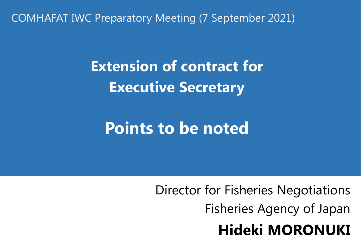COMHAFAT IWC Preparatory Meeting (7 September 2021)

**Extension of contract for Executive Secretary**

**Points to be noted**

Director for Fisheries Negotiations Fisheries Agency of Japan **Hideki MORONUKI**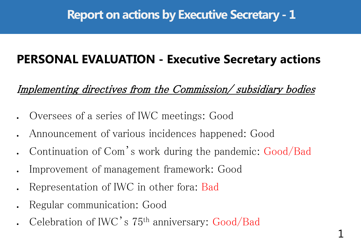## **PERSONAL EVALUATION - Executive Secretary actions**

Implementing directives from the Commission/ subsidiary bodies

- Oversees of a series of IWC meetings: Good
- Announcement of various incidences happened: Good
- Continuation of Com's work during the pandemic: Good/Bad
- Improvement of management framework: Good
- Representation of IWC in other fora: Bad
- Regular communication: Good
- Celebration of IWC's 75th anniversary: Good/Bad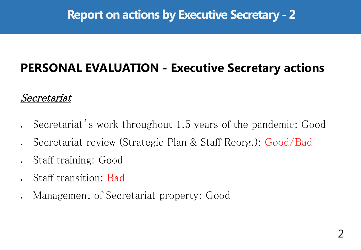# **PERSONAL EVALUATION - Executive Secretary actions**

#### Secretariat

- Secretariat's work throughout 1.5 years of the pandemic: Good
- Secretariat review (Strategic Plan & Staff Reorg.): Good/Bad
- Staff training: Good
- Staff transition: Bad
- Management of Secretariat property: Good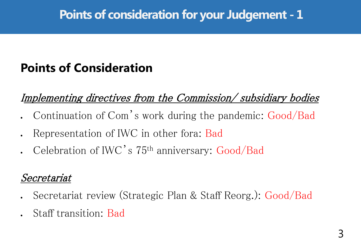## **Points of Consideration**

Implementing directives from the Commission/ subsidiary bodies

- Continuation of Com's work during the pandemic: Good/Bad
- Representation of IWC in other fora: Bad
- Celebration of IWC's 75th anniversary: Good/Bad

#### Secretariat

- Secretariat review (Strategic Plan & Staff Reorg.): Good/Bad
- Staff transition: Bad